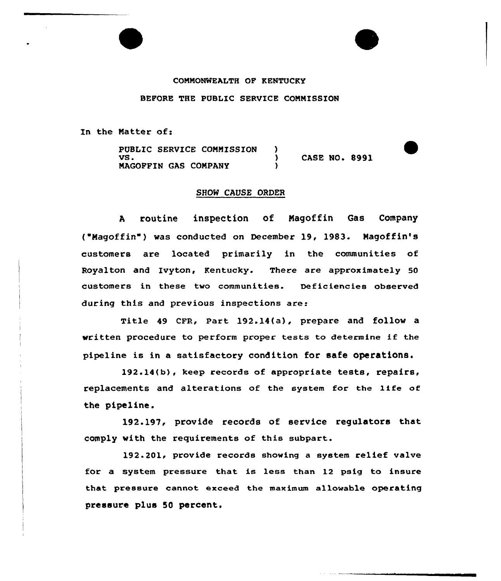## COMMONWEALTH OF KENTUCKY

BEFORE THE PUBLIC SERVICE COMMISSION

In the Natter of:

PUBLIC SERVICE COMMISSION )  $\sum_{\lambda}$  CASE NO. 8991 NAGOFFIN GAS COMPANY )

## SHOW CAUSE ORDER

<sup>A</sup> routine inspection of Nagoffin Gas Company ("Magoffin") was conducted on December 19, 1983. Magoffin's customers are located primarily in the communities of Royal ton and Ivyton, Kentucky. There are approximately 50 customers in these two communities. Deficiencies observed during this and previous inspections are:

Title 49 CFR, Part 192.14(a), prepare and follow a written procedure to perform proper tests to determine if the pipeline is in a satisfactory condition for safe operations.

192.14{b), keep records of appropriate tests, repairs, replacements and alterations of the system for the Iffe of the pipeline.

192.197, provide records of service regulators that comply with the requirements of this subpart.

192.201, provide records showing a system relief valve for a system pressure that is less than 12 psig to insure that pressure cannot exceed the maximum allovable operating pressure plus 50 percent.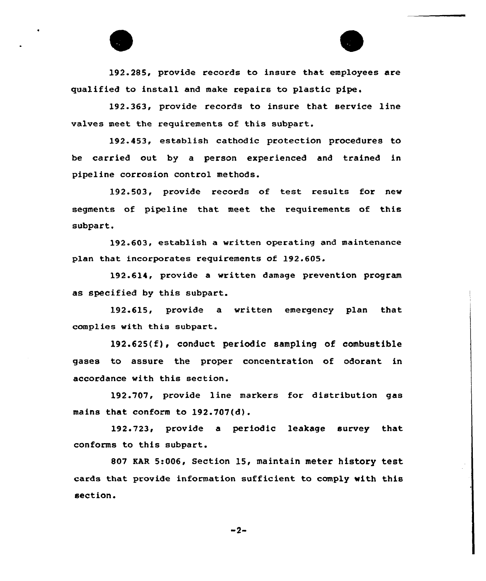192.285, provide records to insure that employees are qualified to install and make repairs to plastic pipe.

192.363, provide records to insure that service line valves meet the requirements of this subpart.

192.453, establish cathodic protection procedures to be carried out by a person experienced and trained in pipeline corrosion control methods.

192.503, provide records of test results for new segments of pipeline that meet the requirements of this subpart

192.603, establish a written operating and maintenance plan that incorporates requirements of 192.605.

192.614, provide a written damage prevention program as specified by this subpart.

192.615, provide a written emergency plan that complies with this subpart.

192.625(f), conduct periodic sampling of combustible gases to assure the proper concentration of odorant in accordance with this section.

192.707, provide line markers for distribution gas mains that conform to 192.107(d}.

192.723, provide a periodic leakage survey that conforms to this subpart.

807 EAR 5:006, Section 15, maintain meter history test cards that provide information sufficient to comply with this section.

 $-2-$